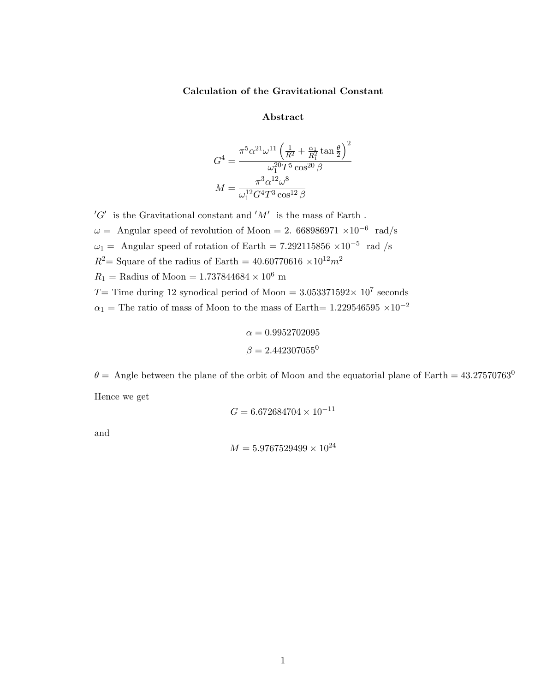## Calculation of the Gravitational Constant

#### Abstract

$$
G^{4} = \frac{\pi^{5} \alpha^{21} \omega^{11} \left(\frac{1}{R^{2}} + \frac{\alpha_{1}}{R_{1}^{2}} \tan \frac{\theta}{2}\right)^{2}}{\omega_{1}^{20} T^{5} \cos^{20} \beta}
$$

$$
M = \frac{\pi^{3} \alpha^{12} \omega^{8}}{\omega_{1}^{12} G^{4} T^{3} \cos^{12} \beta}
$$

 $^{\prime}G^{\prime}$  is the Gravitational constant and  $^{\prime}M^{\prime}$  is the mass of Earth.  $\omega =$  Angular speed of revolution of Moon = 2. 668986971 ×10<sup>-6</sup> rad/s  $\omega_1 =$  Angular speed of rotation of Earth = 7.292115856 ×10<sup>-5</sup> rad /s  $R^2$  = Square of the radius of Earth = 40.60770616 ×10<sup>12</sup> $m^2$  $R_1$  = Radius of Moon = 1.737844684 × 10<sup>6</sup> m T = Time during 12 synodical period of Moon =  $3.053371592 \times 10^7$  seconds  $\alpha_1$  = The ratio of mass of Moon to the mass of Earth= 1.229546595 ×10<sup>-2</sup>

$$
\alpha = 0.9952702095
$$

$$
\beta = 2.442307055^0
$$

 $\theta =$  Angle between the plane of the orbit of Moon and the equatorial plane of Earth = 43.27570763<sup>0</sup> Hence we get

$$
G = 6.672684704 \times 10^{-11}
$$

and

$$
M = 5.9767529499 \times 10^{24}
$$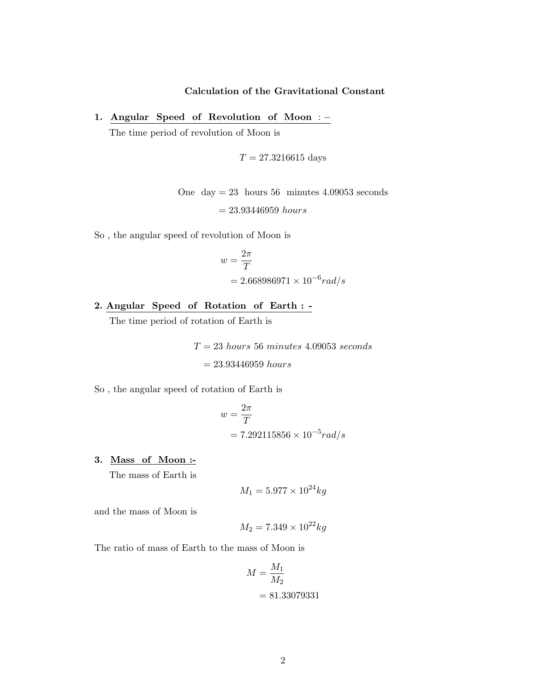# Calculation of the Gravitational Constant

1. Angular Speed of Revolution of Moon : −

The time period of revolution of Moon is

$$
T = 27.3216615
$$
 days

One day  $= 23$  hours 56 minutes 4.09053 seconds

 $= 23.93446959$  hours

So , the angular speed of revolution of Moon is

$$
w = \frac{2\pi}{T}
$$
  
= 2.668986971 × 10<sup>-6</sup> rad/s

2. Angular Speed of Rotation of Earth : -

The time period of rotation of Earth is

 $T = 23$  hours 56 minutes 4.09053 seconds  $= 23.93446959$  hours

So , the angular speed of rotation of Earth is

$$
w = \frac{2\pi}{T}
$$
  
= 7.292115856 × 10<sup>-5</sup> rad/s

3. Mass of Moon :-

The mass of Earth is

$$
M_1 = 5.977 \times 10^{24} kg
$$

and the mass of Moon is

$$
M_2=7.349\times 10^{22} kg
$$

The ratio of mass of Earth to the mass of Moon is

$$
M = \frac{M_1}{M_2}
$$
  
= 81.33079331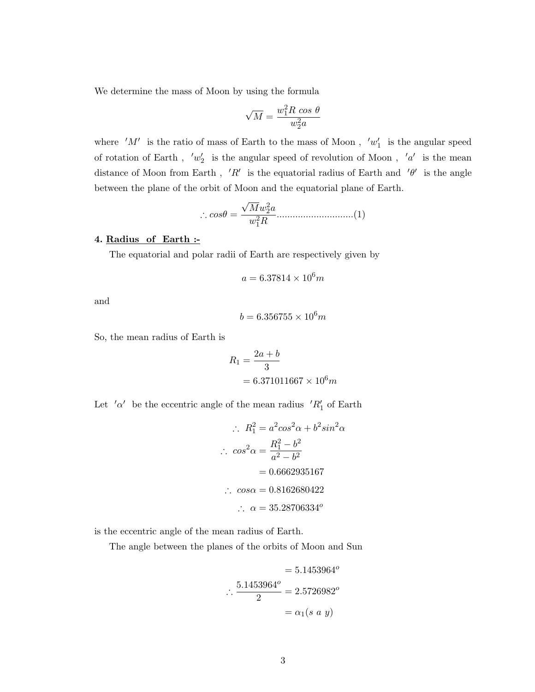We determine the mass of Moon by using the formula

$$
\sqrt{M}=\frac{w_1^2R\,\cos\,\theta}{w_2^2a}
$$

where  $'M'$  is the ratio of mass of Earth to the mass of Moon,  $'w'_1$  is the angular speed of rotation of Earth,  $w_2'$  is the angular speed of revolution of Moon,  $a'$  is the mean distance of Moon from Earth, 'R' is the equatorial radius of Earth and  $\theta'$  is the angle between the plane of the orbit of Moon and the equatorial plane of Earth.

∴ cosθ = √ Mw<sup>2</sup> 2 a w2 1R .............................(1)

#### 4. Radius of Earth :-

The equatorial and polar radii of Earth are respectively given by

$$
a=6.37814\times 10^6 m
$$

and

$$
b = 6.356755 \times 10^6 m
$$

So, the mean radius of Earth is

$$
R_1 = \frac{2a + b}{3}
$$
  
= 6.371011667 × 10<sup>6</sup>m

Let  $\alpha'$  be the eccentric angle of the mean radius  $\Delta R'_1$  of Earth

$$
\therefore R_1^2 = a^2 \cos^2 \alpha + b^2 \sin^2 \alpha
$$
  
\n
$$
\therefore \cos^2 \alpha = \frac{R_1^2 - b^2}{a^2 - b^2}
$$
  
\n= 0.6662935167  
\n
$$
\therefore \cos \alpha = 0.8162680422
$$
  
\n
$$
\therefore \alpha = 35.28706334^o
$$

is the eccentric angle of the mean radius of Earth.

The angle between the planes of the orbits of Moon and Sun

$$
= 5.1453964o
$$

$$
\therefore \frac{5.1453964o}{2} = 2.5726982o
$$

$$
= \alpha_1(s \ a \ y)
$$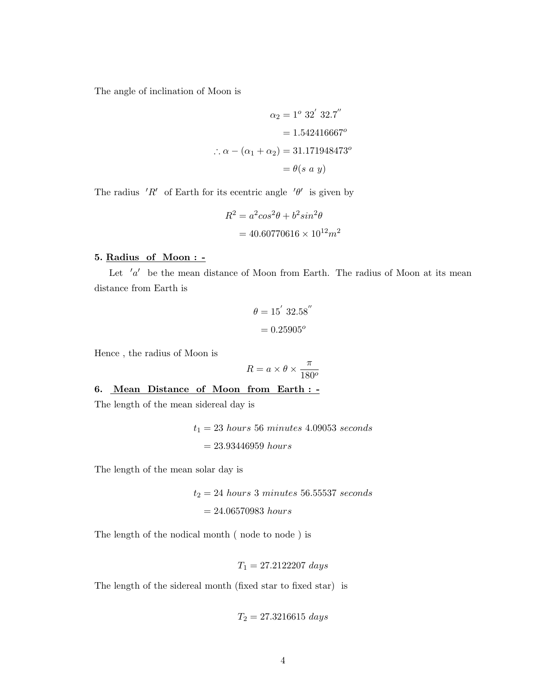The angle of inclination of Moon is

$$
\alpha_2 = 1^{\circ} 32' 32.7''
$$
  
= 1.542416667°  

$$
\therefore \alpha - (\alpha_1 + \alpha_2) = 31.171948473^{\circ}
$$
  
=  $\theta(s \ a \ y)$ 

The radius 'R' of Earth for its ecentric angle ' $\theta$ ' is given by

$$
R^{2} = a^{2} \cos^{2} \theta + b^{2} \sin^{2} \theta
$$

$$
= 40.60770616 \times 10^{12} m^{2}
$$

#### 5. Radius of Moon : -

Let  $'a'$  be the mean distance of Moon from Earth. The radius of Moon at its mean distance from Earth is

$$
\theta = 15' 32.58''
$$

$$
= 0.25905^o
$$

Hence , the radius of Moon is

$$
R = a \times \theta \times \frac{\pi}{180^o}
$$

#### 6. Mean Distance of Moon from Earth : -

The length of the mean sidereal day is

 $t_1=23 \; hours \; 56 \; minutes \; 4.09053 \; seconds$  $= 23.93446959$  hours

The length of the mean solar day is

 $t_2 = 24$  hours 3 minutes 56.55537 seconds  $= 24.06570983$  hours

The length of the nodical month ( node to node ) is

$$
T_1 = 27.2122207 \; days
$$

The length of the sidereal month (fixed star to fixed star) is

$$
T_2 = 27.3216615 \; days
$$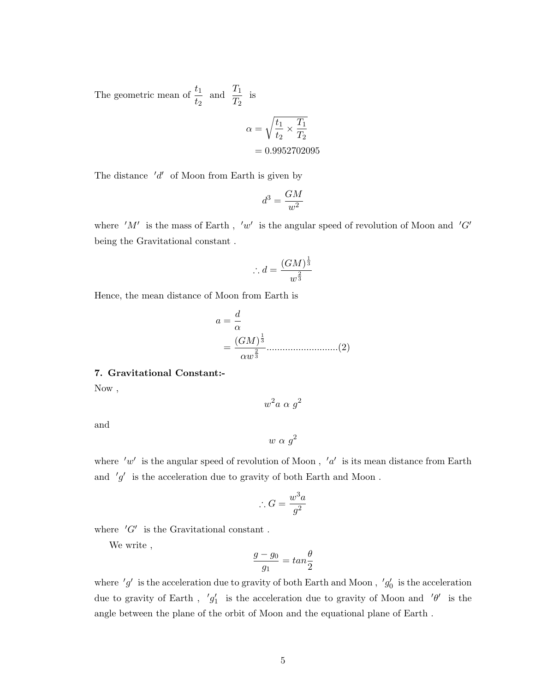The geometric mean of  $\frac{t_1}{t_1}$  $t_2$ and  $\frac{T_1}{T_1}$  $\frac{1}{T_2}$  is

$$
\alpha = \sqrt{\frac{t_1}{t_2} \times \frac{T_1}{T_2}}
$$

$$
= 0.9952702095
$$

The distance  $'d'$  of Moon from Earth is given by

$$
d^3 = \frac{GM}{w^2}
$$

where  $'M'$  is the mass of Earth,  $'w'$  is the angular speed of revolution of Moon and  $'G'$ being the Gravitational constant .

$$
\therefore d = \frac{(GM)^{\frac{1}{3}}}{w^{\frac{2}{3}}}
$$

Hence, the mean distance of Moon from Earth is

a = d α = (GM) 1 3 αw 2 3 ...........................(2)

### 7. Gravitational Constant:-

Now ,

 $w^2a \alpha g^2$ 

and

$$
w \alpha g^2
$$

where 'w' is the angular speed of revolution of Moon, 'a' is its mean distance from Earth and  $'g'$  is the acceleration due to gravity of both Earth and Moon.

$$
\therefore G = \frac{w^3 a}{g^2}
$$

where  $'G'$  is the Gravitational constant.

We write ,

$$
\frac{g - g_0}{g_1} = \tan\frac{\theta}{2}
$$

where  $'g'$  is the acceleration due to gravity of both Earth and Moon,  $'g'_{0}$  is the acceleration due to gravity of Earth,  $'g'_1$  is the acceleration due to gravity of Moon and  $' \theta'$  is the angle between the plane of the orbit of Moon and the equational plane of Earth .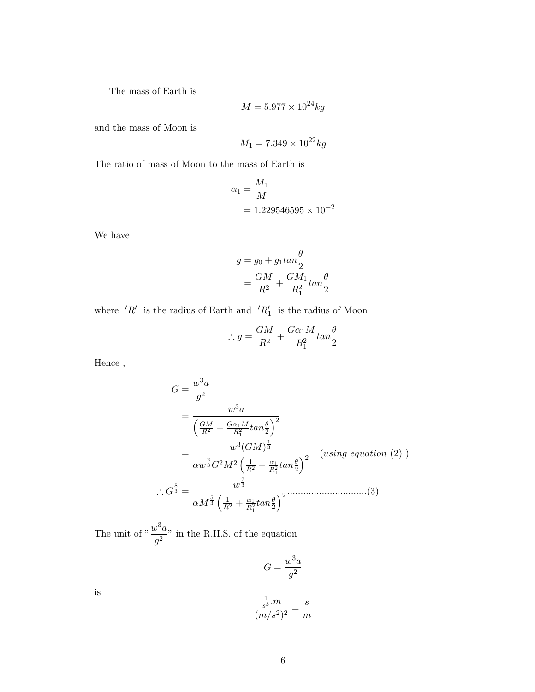The mass of Earth is

$$
M = 5.977 \times 10^{24} kg
$$

and the mass of Moon is

$$
M_1 = 7.349 \times 10^{22} kg
$$

The ratio of mass of Moon to the mass of Earth is

$$
\alpha_1 = \frac{M_1}{M}
$$
  
= 1.229546595 × 10<sup>-2</sup>

We have

$$
g = g_0 + g_1 \tan \frac{\theta}{2}
$$
  
= 
$$
\frac{GM}{R^2} + \frac{GM_1}{R_1^2} \tan \frac{\theta}{2}
$$

where  $'R'$  is the radius of Earth and  $'R'_1$  is the radius of Moon

$$
\therefore g = \frac{GM}{R^2} + \frac{G\alpha_1 M}{R_1^2} \tan\frac{\theta}{2}
$$

Hence ,

$$
G = \frac{w^3 a}{g^2}
$$
  
= 
$$
\frac{w^3 a}{\left(\frac{GM}{R^2} + \frac{G\alpha_1 M}{R_1^2} \tan\frac{\theta}{2}\right)^2}
$$
  
= 
$$
\frac{w^3 (GM)^{\frac{1}{3}}}{\alpha w^{\frac{2}{3}} G^2 M^2 \left(\frac{1}{R^2} + \frac{\alpha_1}{R_1^2} \tan\frac{\theta}{2}\right)^2}
$$
 (using equation (2))  

$$
\therefore G^{\frac{8}{3}} = \frac{w^{\frac{7}{3}}}{\alpha M^{\frac{5}{3}} \left(\frac{1}{R^2} + \frac{\alpha_1}{R_1^2} \tan\frac{\theta}{2}\right)^2}
$$
........(3)

The unit of  $\frac{w^3a}{2}$  $\frac{\partial}{\partial q^2}$  in the R.H.S. of the equation

$$
G = \frac{w^3 a}{g^2}
$$

is

$$
\frac{\frac{1}{s^3} \cdot m}{(m/s^2)^2} = \frac{s}{m}
$$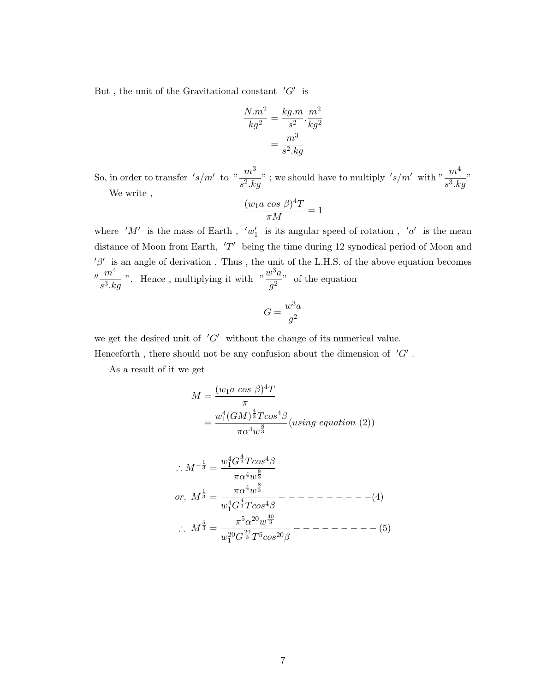But, the unit of the Gravitational constant  $'G'$  is

$$
\frac{N.m^2}{kg^2} = \frac{kg.m}{s^2} \cdot \frac{m^2}{kg^2}
$$

$$
= \frac{m^3}{s^2.kg}
$$

So, in order to transfer  $'s/m'$  to  $"\frac{m^3}{s^2.kg}"$ ; we should have to multiply  $'s/m'$  with  $"\frac{m^4}{s^3.kg}"$ We write ,

$$
\frac{(w_1 a \cos \beta)^4 T}{\pi M} = 1
$$

where  $'M'$  is the mass of Earth,  $'w'_1$  is its angular speed of rotation,  $'a'$  is the mean distance of Moon from Earth,  $'T'$  being the time during 12 synodical period of Moon and  $\beta'$  is an angle of derivation. Thus, the unit of the L.H.S. of the above equation becomes  $\mu$   $m^4$  $rac{m^4}{s^3.kg}$  ". Hence, multiplying it with  $\frac{w^3a}{g^2}$  $\frac{\partial}{\partial q}$  of the equation

$$
G = \frac{w^3 a}{g^2}
$$

we get the desired unit of  $'G'$  without the change of its numerical value.

Henceforth, there should not be any confusion about the dimension of  $'G'$ .

As a result of it we get

$$
M = \frac{(w_1 a \cos \beta)^4 T}{\pi}
$$
  
= 
$$
\frac{w_1^4 (GM)^{\frac{4}{3}} T \cos^4 \beta}{\pi \alpha^4 w^{\frac{8}{3}}} (using \ equation (2))
$$

∴ M<sup>−</sup> <sup>1</sup> <sup>3</sup> = w 4 <sup>1</sup>G 4 <sup>3</sup> T cos4β πα4w 8 3 or, M 1 <sup>3</sup> = πα4w 8 3 w4 <sup>1</sup>G 4 <sup>3</sup> T cos4β − − − − − − − − − −(4) ∴ M 5 <sup>3</sup> = π 5α <sup>20</sup>w 40 3 w<sup>20</sup> <sup>1</sup> G 20 <sup>3</sup> T5cos20β − − − − − − − − − (5)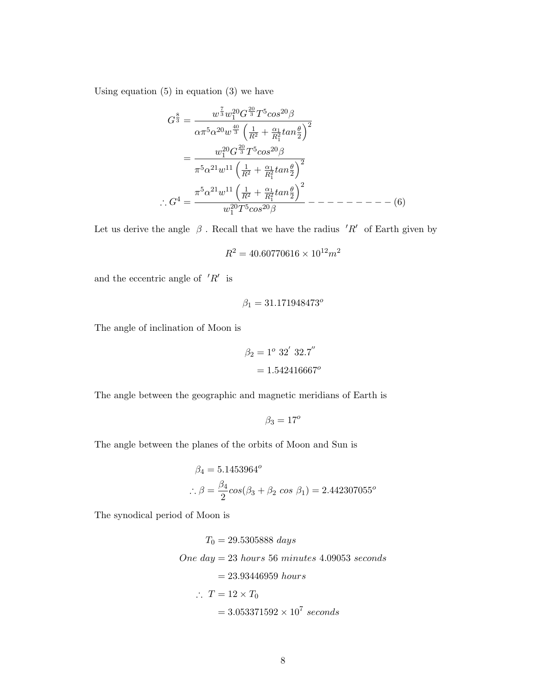Using equation  $(5)$  in equation  $(3)$  we have

$$
G^{\frac{8}{3}} = \frac{w^{\frac{7}{3}}w_1^{20}G^{\frac{20}{3}}T^5cos^{20}\beta}{\alpha\pi^5\alpha^{20}w^{\frac{40}{3}}\left(\frac{1}{R^2} + \frac{\alpha_1}{R_1^2}tan\frac{\theta}{2}\right)^2}
$$

$$
= \frac{w_1^{20}G^{\frac{20}{3}}T^5cos^{20}\beta}{\pi^5\alpha^{21}w^{11}\left(\frac{1}{R^2} + \frac{\alpha_1}{R_1^2}tan\frac{\theta}{2}\right)^2}
$$

$$
\therefore G^4 = \frac{\pi^5\alpha^{21}w^{11}\left(\frac{1}{R^2} + \frac{\alpha_1}{R_1^2}tan\frac{\theta}{2}\right)^2}{w_1^{20}T^5cos^{20}\beta} - --- --- --- (6)
$$

Let us derive the angle  $\beta$ . Recall that we have the radius  $'R'$  of Earth given by

$$
R^2 = 40.60770616 \times 10^{12} m^2
$$

and the eccentric angle of  $'R'$  is

$$
\beta_1=31.171948473^o
$$

The angle of inclination of Moon is

$$
\beta_2 = 1^{\circ} 32' 32.7''
$$

$$
= 1.542416667^{\circ}
$$

The angle between the geographic and magnetic meridians of Earth is

$$
\beta_3=17^o
$$

The angle between the planes of the orbits of Moon and Sun is

$$
\beta_4 = 5.1453964^o
$$
  

$$
\therefore \beta = \frac{\beta_4}{2} \cos(\beta_3 + \beta_2 \cos \beta_1) = 2.442307055^o
$$

The synodical period of Moon is

$$
T_0 = 29.5305888 \; days
$$
  
One day = 23 hours 56 minutes 4.09053 seconds  
= 23.93446959 hours  

$$
\therefore T = 12 \times T_0
$$

$$
= 3.053371592 \times 10^7 seconds
$$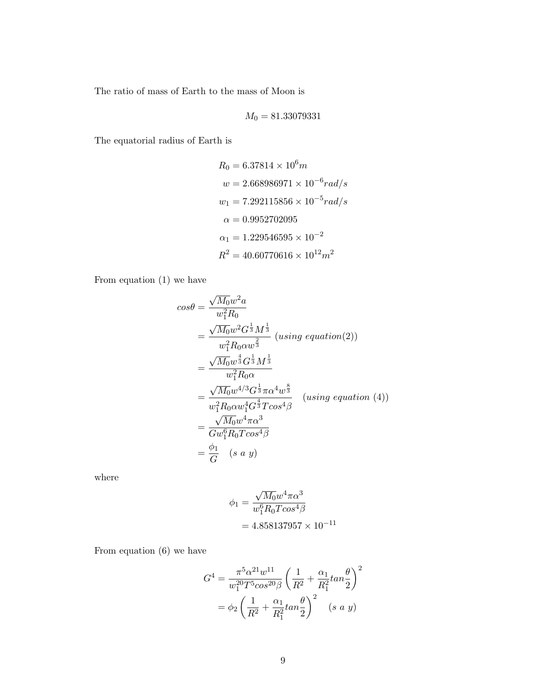The ratio of mass of Earth to the mass of Moon is

$$
M_0 = 81.33079331
$$

The equatorial radius of Earth is

$$
R_0 = 6.37814 \times 10^6 m
$$
  
\n
$$
w = 2.668986971 \times 10^{-6} rad/s
$$
  
\n
$$
w_1 = 7.292115856 \times 10^{-5} rad/s
$$
  
\n
$$
\alpha = 0.9952702095
$$
  
\n
$$
\alpha_1 = 1.229546595 \times 10^{-2}
$$
  
\n
$$
R^2 = 40.60770616 \times 10^{12} m^2
$$

From equation (1) we have

$$
cos\theta = \frac{\sqrt{M_0}w^2a}{w_1^2R_0}
$$
  
=  $\frac{\sqrt{M_0}w^2G^{\frac{1}{3}}M^{\frac{1}{3}}}{w_1^2R_0\alpha w^{\frac{2}{3}}}$  (using equation(2))  
=  $\frac{\sqrt{M_0}w^{\frac{4}{3}}G^{\frac{1}{3}}M^{\frac{1}{3}}}{w_1^2R_0\alpha}$   
=  $\frac{\sqrt{M_0}w^{4/3}G^{\frac{1}{3}}\pi\alpha^4w^{\frac{8}{3}}}{w_1^2R_0\alpha w_1^4G^{\frac{4}{3}}Tcos^4\beta}$  (using equation (4))  
=  $\frac{\sqrt{M_0}w^4\pi\alpha^3}{Gw_1^6R_0Tcos^4\beta}$   
=  $\frac{\phi_1}{G}$  (s a y)

where

$$
\phi_1 = \frac{\sqrt{M_0} w^4 \pi \alpha^3}{w_1^6 R_0 T \cos^4 \beta}
$$
  
= 4.858137957 × 10<sup>-11</sup>

From equation (6) we have

$$
G^{4} = \frac{\pi^{5} \alpha^{21} w^{11}}{w_{1}^{20} T^{5} \cos^{20} \beta} \left(\frac{1}{R^{2}} + \frac{\alpha_{1}}{R_{1}^{2}} \tan \frac{\theta}{2}\right)^{2}
$$

$$
= \phi_{2} \left(\frac{1}{R^{2}} + \frac{\alpha_{1}}{R_{1}^{2}} \tan \frac{\theta}{2}\right)^{2} \quad (s \ a \ y)
$$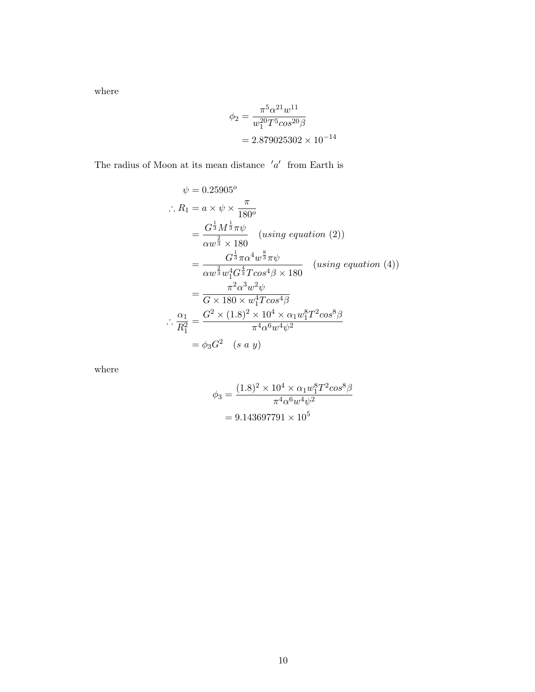where

$$
\phi_2 = \frac{\pi^5 \alpha^{21} w^{11}}{w_1^{20} T^5 \cos^{20} \beta}
$$

$$
= 2.879025302 \times 10^{-14}
$$

The radius of Moon at its mean distance  $'a'$  from Earth is

$$
\psi = 0.25905^o
$$
\n
$$
\therefore R_1 = a \times \psi \times \frac{\pi}{180^o}
$$
\n
$$
= \frac{G^{\frac{1}{3}} M^{\frac{1}{3}} \pi \psi}{\alpha w^{\frac{2}{3}} \times 180} \quad (using \, equation \, (2))
$$
\n
$$
= \frac{G^{\frac{1}{3}} \pi \alpha^4 w^{\frac{8}{3}} \pi \psi}{\alpha w^{\frac{2}{3}} w_1^4 G^{\frac{4}{3}} T \cos^4 \beta \times 180} \quad (using \, equation \, (4))
$$
\n
$$
= \frac{\pi^2 \alpha^3 w^2 \psi}{G \times 180 \times w_1^4 T \cos^4 \beta}
$$
\n
$$
\therefore \frac{\alpha_1}{R_1^2} = \frac{G^2 \times (1.8)^2 \times 10^4 \times \alpha_1 w_1^8 T^2 \cos^8 \beta}{\pi^4 \alpha^6 w^4 \psi^2}
$$
\n
$$
= \phi_3 G^2 \quad (s \, a \, y)
$$

where

$$
\phi_3 = \frac{(1.8)^2 \times 10^4 \times \alpha_1 w_1^8 T^2 cos^8 \beta}{\pi^4 \alpha^6 w^4 \psi^2}
$$

$$
= 9.143697791 \times 10^5
$$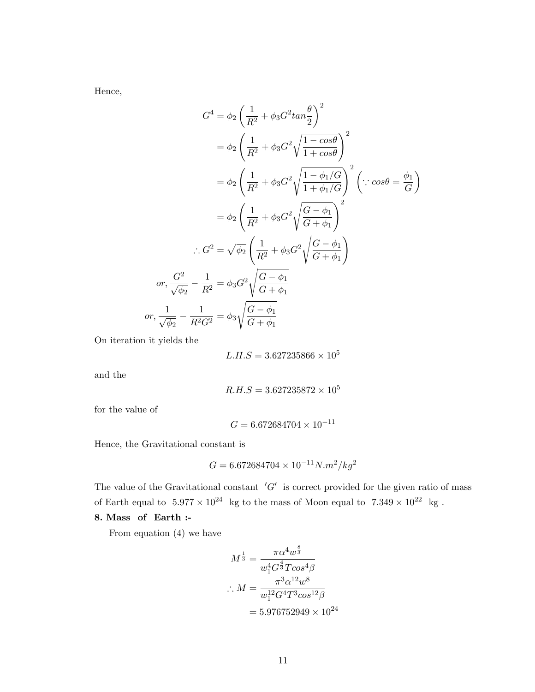Hence,

$$
G^{4} = \phi_{2} \left( \frac{1}{R^{2}} + \phi_{3} G^{2} \tan \frac{\theta}{2} \right)^{2}
$$
  
\n
$$
= \phi_{2} \left( \frac{1}{R^{2}} + \phi_{3} G^{2} \sqrt{\frac{1 - \cos \theta}{1 + \cos \theta}} \right)^{2}
$$
  
\n
$$
= \phi_{2} \left( \frac{1}{R^{2}} + \phi_{3} G^{2} \sqrt{\frac{1 - \phi_{1} / G}{1 + \phi_{1} / G}} \right)^{2} \left( \because \cos \theta = \frac{\phi_{1}}{G} \right)
$$
  
\n
$$
= \phi_{2} \left( \frac{1}{R^{2}} + \phi_{3} G^{2} \sqrt{\frac{G - \phi_{1}}{G + \phi_{1}}} \right)^{2}
$$
  
\n
$$
\therefore G^{2} = \sqrt{\phi_{2}} \left( \frac{1}{R^{2}} + \phi_{3} G^{2} \sqrt{\frac{G - \phi_{1}}{G + \phi_{1}}} \right)
$$
  
\nor, 
$$
\frac{G^{2}}{\sqrt{\phi_{2}}} - \frac{1}{R^{2}} = \phi_{3} G^{2} \sqrt{\frac{G - \phi_{1}}{G + \phi_{1}}}
$$
  
\nor, 
$$
\frac{1}{\sqrt{\phi_{2}}} - \frac{1}{R^{2} G^{2}} = \phi_{3} \sqrt{\frac{G - \phi_{1}}{G + \phi_{1}}}
$$

On iteration it yields the

$$
L.H.S = 3.627235866 \times 10^5
$$

and the

$$
R.H.S = 3.627235872 \times 10^5
$$

for the value of

$$
G = 6.672684704 \times 10^{-11}
$$

Hence, the Gravitational constant is

$$
G = 6.672684704 \times 10^{-11} N.m^2/kg^2
$$

The value of the Gravitational constant  $'G'$  is correct provided for the given ratio of mass of Earth equal to  $5.977 \times 10^{24}$  kg to the mass of Moon equal to  $7.349 \times 10^{22}$  kg.

## 8. Mass of Earth :-

From equation (4) we have

$$
M^{\frac{1}{3}} = \frac{\pi \alpha^4 w^{\frac{8}{3}}}{w_1^4 G^{\frac{4}{3}} T \cos^4 \beta}
$$
  
:. 
$$
M = \frac{\pi^3 \alpha^{12} w^8}{w_1^{12} G^4 T^3 \cos^{12} \beta}
$$
  
= 5.976752949 × 10<sup>24</sup>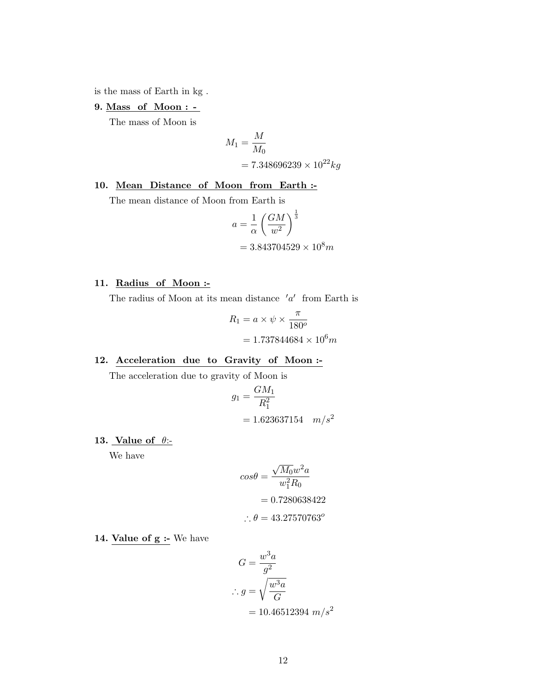is the mass of Earth in kg .

# 9. Mass of Moon : -

The mass of Moon is

$$
M_1 = \frac{M}{M_0}
$$
  
= 7.348696239 × 10<sup>22</sup> kg

# 10. Mean Distance of Moon from Earth :-

The mean distance of Moon from Earth is

$$
a = \frac{1}{\alpha} \left( \frac{GM}{w^2} \right)^{\frac{1}{3}}
$$
  
= 3.843704529 × 10<sup>8</sup>m

## 11. Radius of Moon :-

The radius of Moon at its mean distance  $'a'$  from Earth is

$$
R_1 = a \times \psi \times \frac{\pi}{180^o}
$$

$$
= 1.737844684 \times 10^6 m
$$

## 12. Acceleration due to Gravity of Moon :-

The acceleration due to gravity of Moon is

$$
g_1 = \frac{GM_1}{R_1^2}
$$
  
= 1.623637154 m/s<sup>2</sup>

## 13. Value of  $\theta$ :-

We have

$$
cos\theta = \frac{\sqrt{M_0}w^2a}{w_1^2R_0}
$$

$$
= 0.7280638422
$$

$$
\therefore \theta = 43.27570763^o
$$

14. Value of g :- We have

$$
G = \frac{w^3 a}{g^2}
$$
  

$$
\therefore g = \sqrt{\frac{w^3 a}{G}}
$$
  

$$
= 10.46512394 \ m/s^2
$$